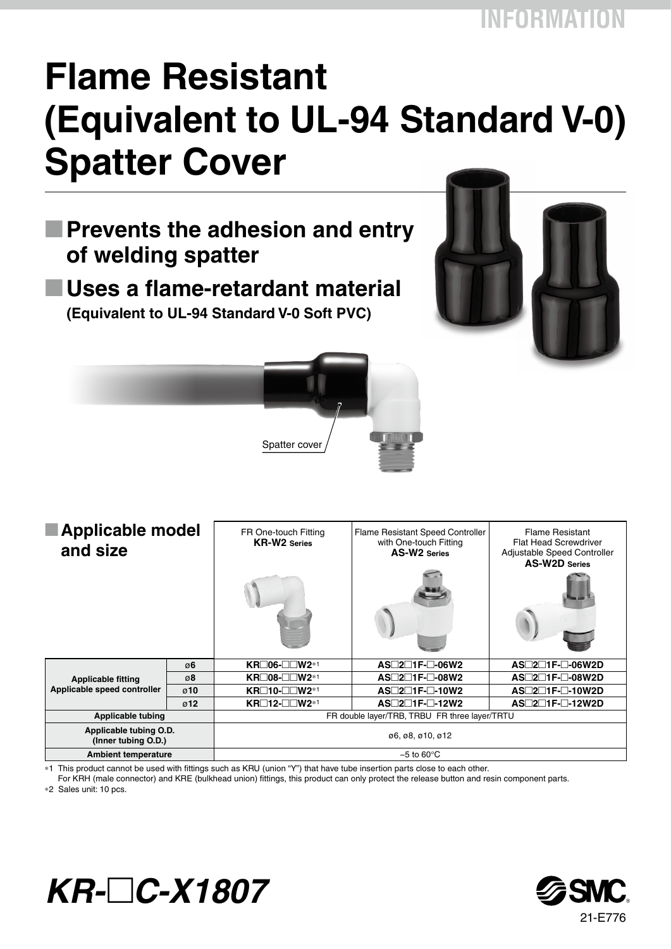## **Flame Resistant (Equivalent to UL-94 Standard V-0) Spatter Cover**

**M Prevents the adhesion and entry of welding spatter**

**M Uses a flame-retardant material (Equivalent to UL-94 Standard V-0 Soft PVC)**





| Applicable model<br>and size                             |                  | FR One-touch Fitting<br><b>KR-W2</b> Series   | Flame Resistant Speed Controller<br>with One-touch Fitting<br><b>AS-W2 Series</b> | <b>Flame Resistant</b><br><b>Flat Head Screwdriver</b><br>Adjustable Speed Controller<br><b>AS-W2D Series</b> |  |  |
|----------------------------------------------------------|------------------|-----------------------------------------------|-----------------------------------------------------------------------------------|---------------------------------------------------------------------------------------------------------------|--|--|
|                                                          |                  |                                               |                                                                                   |                                                                                                               |  |  |
| <b>Applicable fitting</b><br>Applicable speed controller | ø6               | $KR \Box 06 - \Box \Box W2^{*1}$              | $AS\square 2\square 1F\square 06W2$                                               | $AS \square 2 \square 1F \square 06 W 2D$                                                                     |  |  |
|                                                          | ø8               | KR□08-□□W2 <sup>*1</sup>                      | $AS\square 2\square 1F\square 08W2$                                               | $AS \square 2 \square 1F \square 08 W 2D$                                                                     |  |  |
|                                                          | $\varnothing$ 10 | $KR\square$ 10- $\square\square$ W2*1         | $AS\square 2\square 1F\square 10W2$                                               | $AS \square 2 \square 1F - \square - 10W 2D$                                                                  |  |  |
|                                                          | $\sigma$ 12      | <b>KR</b> □12-□□W2 <sup>*1</sup>              | $AS \square 2 \square 1 F \square - 12 W2$                                        | AS□2□1F-□-12W2D                                                                                               |  |  |
| <b>Applicable tubing</b>                                 |                  | FR double layer/TRB, TRBU FR three layer/TRTU |                                                                                   |                                                                                                               |  |  |
| Applicable tubing O.D.<br>(Inner tubing O.D.)            |                  | 06, 08, 010, 012                              |                                                                                   |                                                                                                               |  |  |
| <b>Ambient temperature</b>                               |                  | $-5$ to 60 $\degree$ C                        |                                                                                   |                                                                                                               |  |  |

∗1 This product cannot be used with fittings such as KRU (union "Y") that have tube insertion parts close to each other.

For KRH (male connector) and KRE (bulkhead union) fittings, this product can only protect the release button and resin component parts.

∗2 Sales unit: 10 pcs.